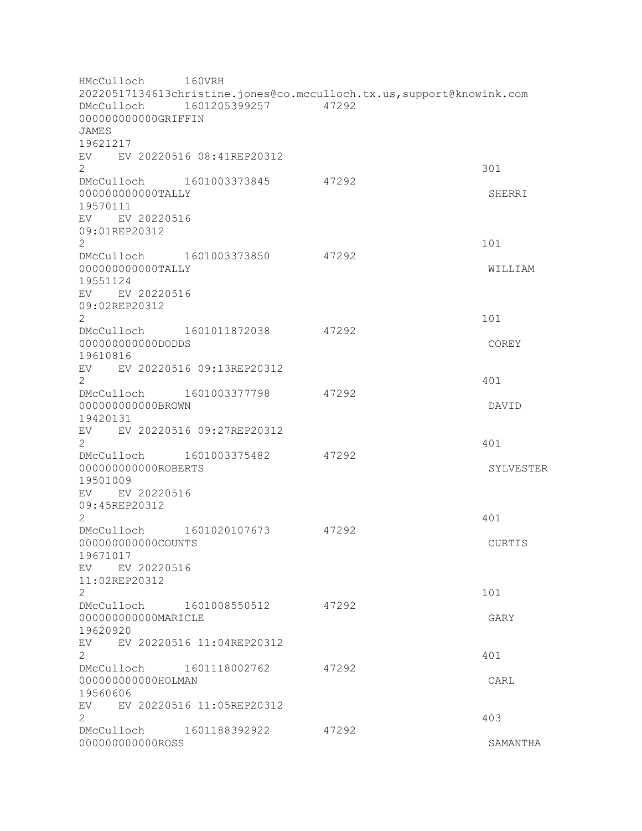HMcCulloch 160VRH 20220517134613christine.jones@co.mcculloch.tx.us,support@knowink.com DMcCulloch 1601205399257 47292 000000000000GRIFFIN JAMES 19621217 EV EV 20220516 08:41REP20312  $2\overline{301}$ DMcCulloch 1601003373845 47292 000000000000000TALLY 3HERRI 19570111 EV EV 20220516 09:01REP20312 2 101 DMcCulloch 1601003373850 47292 000000000000TALLY WILLIAM 19551124 EV EV 20220516 09:02REP20312  $2 \t 101$ DMcCulloch 1601011872038 47292 000000000000DODDS COREY 19610816 EV EV 20220516 09:13REP20312  $2 \times 401$ DMcCulloch 1601003377798 47292 000000000000BROWN DAVID 19420131 EV EV 20220516 09:27REP20312  $2<sup>2</sup>$ DMcCulloch 1601003375482 47292 000000000000ROBERTS SYLVESTER 19501009 EV EV 20220516 09:45REP20312  $2 \times 401$ DMcCulloch 1601020107673 47292 000000000000COUNTS CURTIS 19671017 EV EV 20220516 11:02REP20312  $2 \t 101$ DMcCulloch 1601008550512 47292 000000000000MARICLE GARY 19620920 EV EV 20220516 11:04REP20312 2 401 DMcCulloch 1601118002762 47292 000000000000HOLMAN CARL 19560606 EV EV 20220516 11:05REP20312  $2 \times 403$ DMcCulloch 1601188392922 47292 0000000000000ROSS SAMANTHA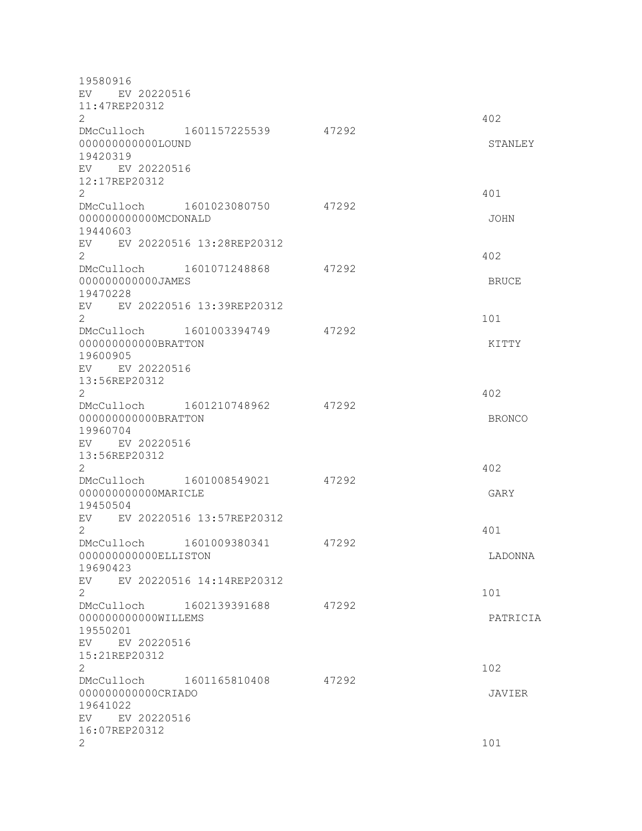19580916 EV EV 20220516 11:47REP20312  $2 \times 402$ DMcCulloch 1601157225539 47292 000000000000LOUND STANLEY 19420319 EV EV 20220516 12:17REP20312 2 401 DMcCulloch 1601023080750 47292 000000000000MCDONALD JOHN 19440603 EV EV 20220516 13:28REP20312  $2 \times 402$ DMcCulloch 1601071248868 47292 000000000000JAMES BRUCE 19470228 EV EV 20220516 13:39REP20312  $2 \t 101$ DMcCulloch 1601003394749 47292 000000000000BRATTON KITTY 19600905 EV EV 20220516 13:56REP20312  $2 \times 402$ DMcCulloch 1601210748962 47292 000000000000BRATTON BRONCO 19960704 EV EV 20220516 13:56REP20312 2 402 DMcCulloch 1601008549021 47292 000000000000MARICLE GARY 19450504 EV EV 20220516 13:57REP20312  $2<sup>2</sup>$ DMcCulloch 1601009380341 47292 000000000000ELLISTON LADONNA 19690423 EV EV 20220516 14:14REP20312  $2 \t 101$ DMcCulloch 1602139391688 47292 000000000000WILLEMS PATRICIA 19550201 EV EV 20220516 15:21REP20312  $2 \times 102$ DMcCulloch 1601165810408 47292 000000000000CRIADO JAVIER 19641022 EV EV 20220516 16:07REP20312  $2 \t 101$